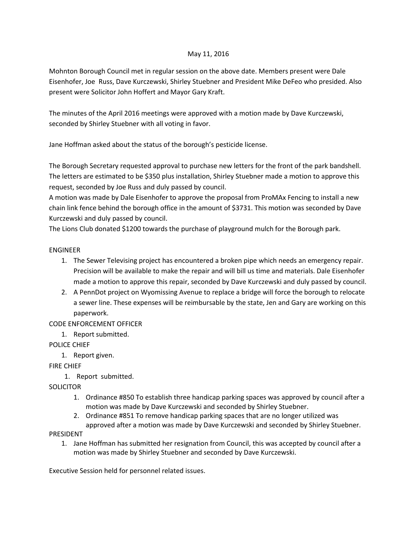#### May 11, 2016

Mohnton Borough Council met in regular session on the above date. Members present were Dale Eisenhofer, Joe Russ, Dave Kurczewski, Shirley Stuebner and President Mike DeFeo who presided. Also present were Solicitor John Hoffert and Mayor Gary Kraft.

The minutes of the April 2016 meetings were approved with a motion made by Dave Kurczewski, seconded by Shirley Stuebner with all voting in favor.

Jane Hoffman asked about the status of the borough's pesticide license.

The Borough Secretary requested approval to purchase new letters for the front of the park bandshell. The letters are estimated to be \$350 plus installation, Shirley Stuebner made a motion to approve this request, seconded by Joe Russ and duly passed by council.

A motion was made by Dale Eisenhofer to approve the proposal from ProMAx Fencing to install a new chain link fence behind the borough office in the amount of \$3731. This motion was seconded by Dave Kurczewski and duly passed by council.

The Lions Club donated \$1200 towards the purchase of playground mulch for the Borough park.

## ENGINEER

- 1. The Sewer Televising project has encountered a broken pipe which needs an emergency repair. Precision will be available to make the repair and will bill us time and materials. Dale Eisenhofer made a motion to approve this repair, seconded by Dave Kurczewski and duly passed by council.
- 2. A PennDot project on Wyomissing Avenue to replace a bridge will force the borough to relocate a sewer line. These expenses will be reimbursable by the state, Jen and Gary are working on this paperwork.

# CODE ENFORCEMENT OFFICER

1. Report submitted.

# POLICE CHIEF

1. Report given.

FIRE CHIEF

1. Report submitted.

**SOLICITOR** 

- 1. Ordinance #850 To establish three handicap parking spaces was approved by council after a motion was made by Dave Kurczewski and seconded by Shirley Stuebner.
- 2. Ordinance #851 To remove handicap parking spaces that are no longer utilized was approved after a motion was made by Dave Kurczewski and seconded by Shirley Stuebner.

#### PRESIDENT

1. Jane Hoffman has submitted her resignation from Council, this was accepted by council after a motion was made by Shirley Stuebner and seconded by Dave Kurczewski.

Executive Session held for personnel related issues.